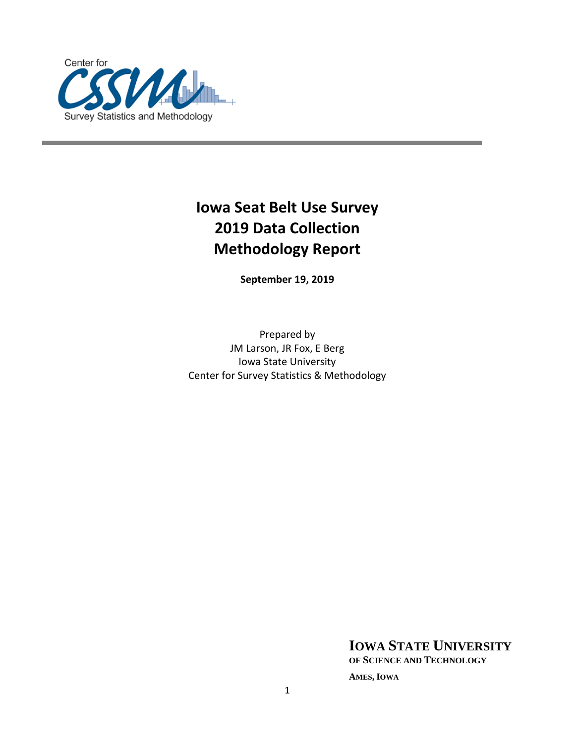

# **Iowa Seat Belt Use Survey 2019 Data Collection Methodology Report**

**September 19, 2019**

Prepared by JM Larson, JR Fox, E Berg Iowa State University Center for Survey Statistics & Methodology

**IOWA STATE UNIVERSITY**

**OF SCIENCE AND TECHNOLOGY**

**AMES, IOWA**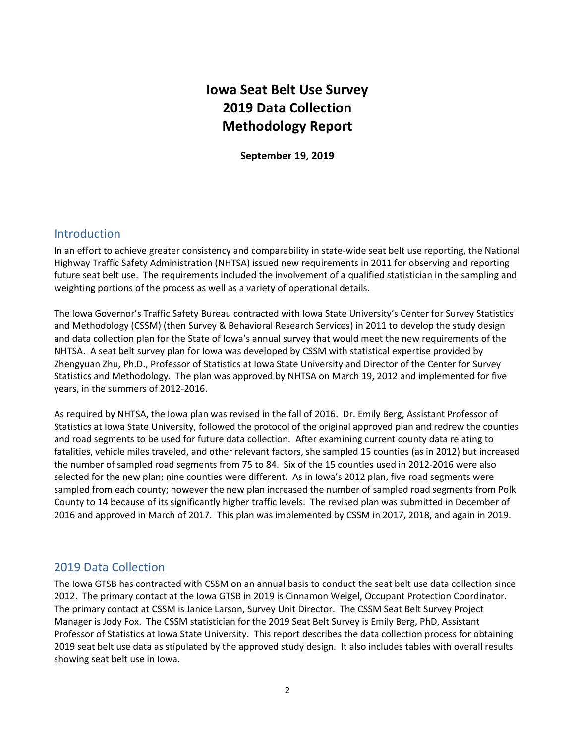# **Iowa Seat Belt Use Survey 2019 Data Collection Methodology Report**

**September 19, 2019**

## Introduction

In an effort to achieve greater consistency and comparability in state-wide seat belt use reporting, the National Highway Traffic Safety Administration (NHTSA) issued new requirements in 2011 for observing and reporting future seat belt use. The requirements included the involvement of a qualified statistician in the sampling and weighting portions of the process as well as a variety of operational details.

The Iowa Governor's Traffic Safety Bureau contracted with Iowa State University's Center for Survey Statistics and Methodology (CSSM) (then Survey & Behavioral Research Services) in 2011 to develop the study design and data collection plan for the State of Iowa's annual survey that would meet the new requirements of the NHTSA. A seat belt survey plan for Iowa was developed by CSSM with statistical expertise provided by Zhengyuan Zhu, Ph.D., Professor of Statistics at Iowa State University and Director of the Center for Survey Statistics and Methodology. The plan was approved by NHTSA on March 19, 2012 and implemented for five years, in the summers of 2012-2016.

As required by NHTSA, the Iowa plan was revised in the fall of 2016. Dr. Emily Berg, Assistant Professor of Statistics at Iowa State University, followed the protocol of the original approved plan and redrew the counties and road segments to be used for future data collection. After examining current county data relating to fatalities, vehicle miles traveled, and other relevant factors, she sampled 15 counties (as in 2012) but increased the number of sampled road segments from 75 to 84. Six of the 15 counties used in 2012-2016 were also selected for the new plan; nine counties were different. As in Iowa's 2012 plan, five road segments were sampled from each county; however the new plan increased the number of sampled road segments from Polk County to 14 because of its significantly higher traffic levels. The revised plan was submitted in December of 2016 and approved in March of 2017. This plan was implemented by CSSM in 2017, 2018, and again in 2019.

## 2019 Data Collection

The Iowa GTSB has contracted with CSSM on an annual basis to conduct the seat belt use data collection since 2012. The primary contact at the Iowa GTSB in 2019 is Cinnamon Weigel, Occupant Protection Coordinator. The primary contact at CSSM is Janice Larson, Survey Unit Director. The CSSM Seat Belt Survey Project Manager is Jody Fox. The CSSM statistician for the 2019 Seat Belt Survey is Emily Berg, PhD, Assistant Professor of Statistics at Iowa State University. This report describes the data collection process for obtaining 2019 seat belt use data as stipulated by the approved study design. It also includes tables with overall results showing seat belt use in Iowa.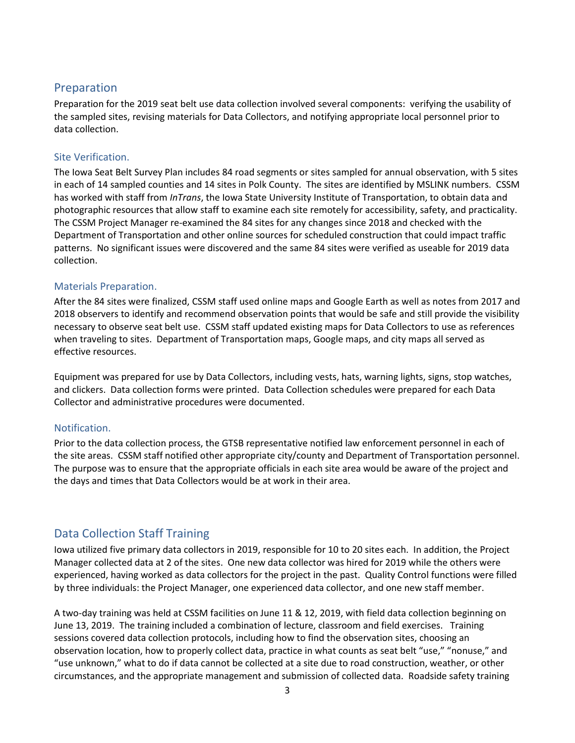## Preparation

Preparation for the 2019 seat belt use data collection involved several components: verifying the usability of the sampled sites, revising materials for Data Collectors, and notifying appropriate local personnel prior to data collection.

## Site Verification.

The Iowa Seat Belt Survey Plan includes 84 road segments or sites sampled for annual observation, with 5 sites in each of 14 sampled counties and 14 sites in Polk County. The sites are identified by MSLINK numbers. CSSM has worked with staff from *InTrans*, the Iowa State University Institute of Transportation, to obtain data and photographic resources that allow staff to examine each site remotely for accessibility, safety, and practicality. The CSSM Project Manager re-examined the 84 sites for any changes since 2018 and checked with the Department of Transportation and other online sources for scheduled construction that could impact traffic patterns. No significant issues were discovered and the same 84 sites were verified as useable for 2019 data collection.

## Materials Preparation.

After the 84 sites were finalized, CSSM staff used online maps and Google Earth as well as notes from 2017 and 2018 observers to identify and recommend observation points that would be safe and still provide the visibility necessary to observe seat belt use. CSSM staff updated existing maps for Data Collectors to use as references when traveling to sites. Department of Transportation maps, Google maps, and city maps all served as effective resources.

Equipment was prepared for use by Data Collectors, including vests, hats, warning lights, signs, stop watches, and clickers. Data collection forms were printed. Data Collection schedules were prepared for each Data Collector and administrative procedures were documented.

## Notification.

Prior to the data collection process, the GTSB representative notified law enforcement personnel in each of the site areas. CSSM staff notified other appropriate city/county and Department of Transportation personnel. The purpose was to ensure that the appropriate officials in each site area would be aware of the project and the days and times that Data Collectors would be at work in their area.

## Data Collection Staff Training

Iowa utilized five primary data collectors in 2019, responsible for 10 to 20 sites each. In addition, the Project Manager collected data at 2 of the sites. One new data collector was hired for 2019 while the others were experienced, having worked as data collectors for the project in the past. Quality Control functions were filled by three individuals: the Project Manager, one experienced data collector, and one new staff member.

A two-day training was held at CSSM facilities on June 11 & 12, 2019, with field data collection beginning on June 13, 2019. The training included a combination of lecture, classroom and field exercises. Training sessions covered data collection protocols, including how to find the observation sites, choosing an observation location, how to properly collect data, practice in what counts as seat belt "use," "nonuse," and "use unknown," what to do if data cannot be collected at a site due to road construction, weather, or other circumstances, and the appropriate management and submission of collected data. Roadside safety training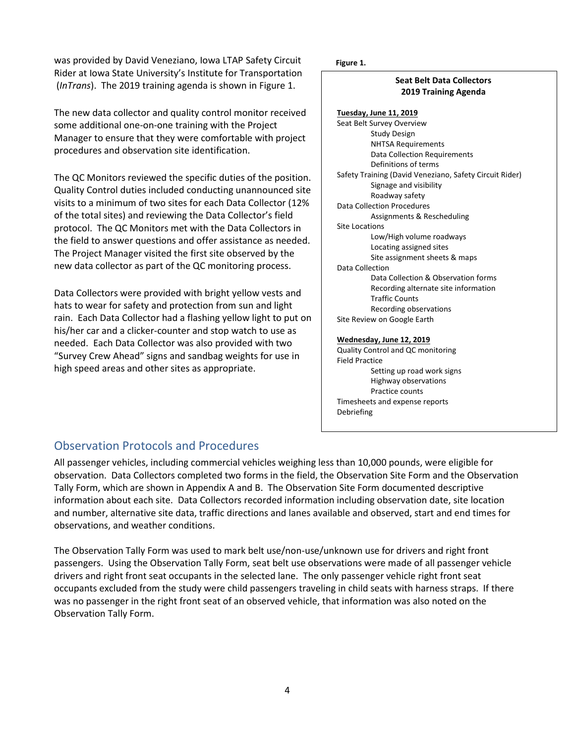was provided by David Veneziano, Iowa LTAP Safety Circuit **Figure 1.** Rider at Iowa State University's Institute for Transportation (*InTrans*). The 2019 training agenda is shown in Figure 1.

The new data collector and quality control monitor received some additional one-on-one training with the Project Manager to ensure that they were comfortable with project procedures and observation site identification.

The QC Monitors reviewed the specific duties of the position. Quality Control duties included conducting unannounced site visits to a minimum of two sites for each Data Collector (12% of the total sites) and reviewing the Data Collector's field protocol. The QC Monitors met with the Data Collectors in the field to answer questions and offer assistance as needed. The Project Manager visited the first site observed by the new data collector as part of the QC monitoring process.

Data Collectors were provided with bright yellow vests and hats to wear for safety and protection from sun and light rain. Each Data Collector had a flashing yellow light to put on his/her car and a clicker-counter and stop watch to use as needed. Each Data Collector was also provided with two "Survey Crew Ahead" signs and sandbag weights for use in high speed areas and other sites as appropriate.

### **Seat Belt Data Collectors 2019 Training Agenda**

**Tuesday, June 11, 2019** Seat Belt Survey Overview Study Design NHTSA Requirements Data Collection Requirements Definitions of terms Safety Training (David Veneziano, Safety Circuit Rider) Signage and visibility Roadway safety Data Collection Procedures Assignments & Rescheduling Site Locations Low/High volume roadways Locating assigned sites Site assignment sheets & maps Data Collection Data Collection & Observation forms Recording alternate site information Traffic Counts Recording observations Site Review on Google Earth

### **Wednesday, June 12, 2019**

Quality Control and QC monitoring Field Practice Setting up road work signs Highway observations Practice counts Timesheets and expense reports Debriefing

## Observation Protocols and Procedures

All passenger vehicles, including commercial vehicles weighing less than 10,000 pounds, were eligible for observation. Data Collectors completed two forms in the field, the Observation Site Form and the Observation Tally Form, which are shown in Appendix A and B. The Observation Site Form documented descriptive information about each site. Data Collectors recorded information including observation date, site location and number, alternative site data, traffic directions and lanes available and observed, start and end times for observations, and weather conditions.

The Observation Tally Form was used to mark belt use/non-use/unknown use for drivers and right front passengers. Using the Observation Tally Form, seat belt use observations were made of all passenger vehicle drivers and right front seat occupants in the selected lane. The only passenger vehicle right front seat occupants excluded from the study were child passengers traveling in child seats with harness straps. If there was no passenger in the right front seat of an observed vehicle, that information was also noted on the Observation Tally Form.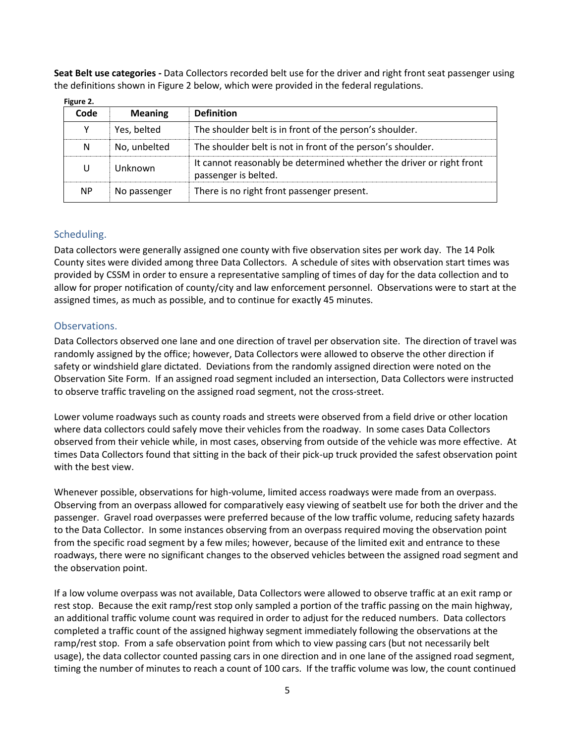**Seat Belt use categories -** Data Collectors recorded belt use for the driver and right front seat passenger using the definitions shown in Figure 2 below, which were provided in the federal regulations.

| rigure 2. |                |                                                                                              |
|-----------|----------------|----------------------------------------------------------------------------------------------|
| Code      | <b>Meaning</b> | <b>Definition</b>                                                                            |
| Υ         | Yes, belted    | The shoulder belt is in front of the person's shoulder.                                      |
| N         | No, unbelted   | The shoulder belt is not in front of the person's shoulder.                                  |
| U         | Unknown        | It cannot reasonably be determined whether the driver or right front<br>passenger is belted. |
| <b>NP</b> | No passenger   | There is no right front passenger present.                                                   |

**Figure 2.**

## Scheduling.

Data collectors were generally assigned one county with five observation sites per work day. The 14 Polk County sites were divided among three Data Collectors. A schedule of sites with observation start times was provided by CSSM in order to ensure a representative sampling of times of day for the data collection and to allow for proper notification of county/city and law enforcement personnel. Observations were to start at the assigned times, as much as possible, and to continue for exactly 45 minutes.

## Observations.

Data Collectors observed one lane and one direction of travel per observation site. The direction of travel was randomly assigned by the office; however, Data Collectors were allowed to observe the other direction if safety or windshield glare dictated. Deviations from the randomly assigned direction were noted on the Observation Site Form. If an assigned road segment included an intersection, Data Collectors were instructed to observe traffic traveling on the assigned road segment, not the cross-street.

Lower volume roadways such as county roads and streets were observed from a field drive or other location where data collectors could safely move their vehicles from the roadway. In some cases Data Collectors observed from their vehicle while, in most cases, observing from outside of the vehicle was more effective. At times Data Collectors found that sitting in the back of their pick-up truck provided the safest observation point with the best view.

Whenever possible, observations for high-volume, limited access roadways were made from an overpass. Observing from an overpass allowed for comparatively easy viewing of seatbelt use for both the driver and the passenger. Gravel road overpasses were preferred because of the low traffic volume, reducing safety hazards to the Data Collector. In some instances observing from an overpass required moving the observation point from the specific road segment by a few miles; however, because of the limited exit and entrance to these roadways, there were no significant changes to the observed vehicles between the assigned road segment and the observation point.

If a low volume overpass was not available, Data Collectors were allowed to observe traffic at an exit ramp or rest stop. Because the exit ramp/rest stop only sampled a portion of the traffic passing on the main highway, an additional traffic volume count was required in order to adjust for the reduced numbers. Data collectors completed a traffic count of the assigned highway segment immediately following the observations at the ramp/rest stop. From a safe observation point from which to view passing cars (but not necessarily belt usage), the data collector counted passing cars in one direction and in one lane of the assigned road segment, timing the number of minutes to reach a count of 100 cars. If the traffic volume was low, the count continued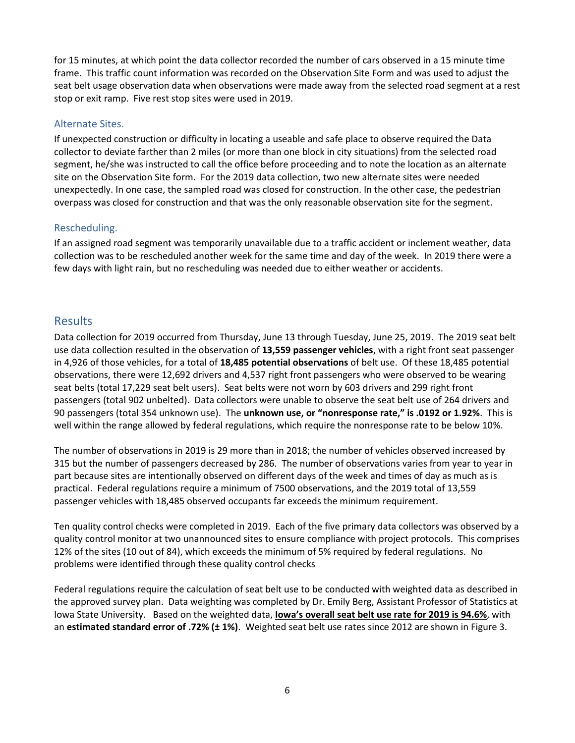for 15 minutes, at which point the data collector recorded the number of cars observed in a 15 minute time frame. This traffic count information was recorded on the Observation Site Form and was used to adjust the seat belt usage observation data when observations were made away from the selected road segment at a rest stop or exit ramp. Five rest stop sites were used in 2019.

## Alternate Sites.

If unexpected construction or difficulty in locating a useable and safe place to observe required the Data collector to deviate farther than 2 miles (or more than one block in city situations) from the selected road segment, he/she was instructed to call the office before proceeding and to note the location as an alternate site on the Observation Site form. For the 2019 data collection, two new alternate sites were needed unexpectedly. In one case, the sampled road was closed for construction. In the other case, the pedestrian overpass was closed for construction and that was the only reasonable observation site for the segment.

## Rescheduling.

If an assigned road segment was temporarily unavailable due to a traffic accident or inclement weather, data collection was to be rescheduled another week for the same time and day of the week. In 2019 there were a few days with light rain, but no rescheduling was needed due to either weather or accidents.

## Results

Data collection for 2019 occurred from Thursday, June 13 through Tuesday, June 25, 2019. The 2019 seat belt use data collection resulted in the observation of **13,559 passenger vehicles**, with a right front seat passenger in 4,926 of those vehicles, for a total of **18,485 potential observations** of belt use. Of these 18,485 potential observations, there were 12,692 drivers and 4,537 right front passengers who were observed to be wearing seat belts (total 17,229 seat belt users). Seat belts were not worn by 603 drivers and 299 right front passengers (total 902 unbelted). Data collectors were unable to observe the seat belt use of 264 drivers and 90 passengers (total 354 unknown use). The **unknown use, or "nonresponse rate," is .0192 or 1.92%**. This is well within the range allowed by federal regulations, which require the nonresponse rate to be below 10%.

The number of observations in 2019 is 29 more than in 2018; the number of vehicles observed increased by 315 but the number of passengers decreased by 286. The number of observations varies from year to year in part because sites are intentionally observed on different days of the week and times of day as much as is practical. Federal regulations require a minimum of 7500 observations, and the 2019 total of 13,559 passenger vehicles with 18,485 observed occupants far exceeds the minimum requirement.

Ten quality control checks were completed in 2019. Each of the five primary data collectors was observed by a quality control monitor at two unannounced sites to ensure compliance with project protocols. This comprises 12% of the sites (10 out of 84), which exceeds the minimum of 5% required by federal regulations. No problems were identified through these quality control checks

Federal regulations require the calculation of seat belt use to be conducted with weighted data as described in the approved survey plan. Data weighting was completed by Dr. Emily Berg, Assistant Professor of Statistics at Iowa State University. Based on the weighted data, **Iowa's overall seat belt use rate for 2019 is 94.6%**, with an **estimated standard error of .72% (± 1%)**. Weighted seat belt use rates since 2012 are shown in Figure 3.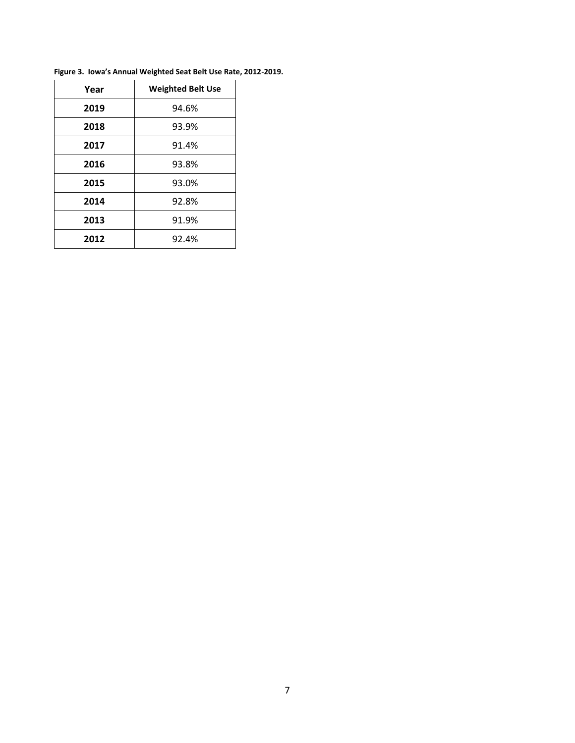| Year | <b>Weighted Belt Use</b> |
|------|--------------------------|
| 2019 | 94.6%                    |
| 2018 | 93.9%                    |
| 2017 | 91.4%                    |
| 2016 | 93.8%                    |
| 2015 | 93.0%                    |
| 2014 | 92.8%                    |
| 2013 | 91.9%                    |
| 2012 | 92.4%                    |

**Figure 3. Iowa's Annual Weighted Seat Belt Use Rate, 2012-2019.**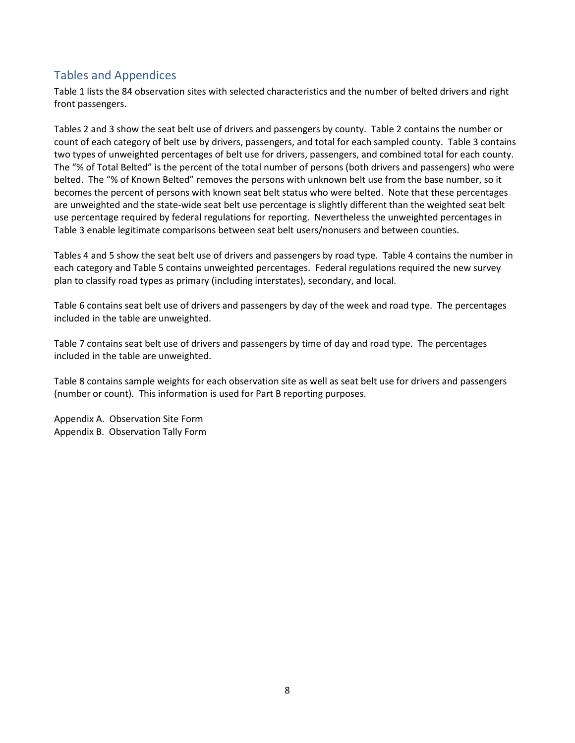## Tables and Appendices

Table 1 lists the 84 observation sites with selected characteristics and the number of belted drivers and right front passengers.

Tables 2 and 3 show the seat belt use of drivers and passengers by county. Table 2 contains the number or count of each category of belt use by drivers, passengers, and total for each sampled county. Table 3 contains two types of unweighted percentages of belt use for drivers, passengers, and combined total for each county. The "% of Total Belted" is the percent of the total number of persons (both drivers and passengers) who were belted. The "% of Known Belted" removes the persons with unknown belt use from the base number, so it becomes the percent of persons with known seat belt status who were belted. Note that these percentages are unweighted and the state-wide seat belt use percentage is slightly different than the weighted seat belt use percentage required by federal regulations for reporting. Nevertheless the unweighted percentages in Table 3 enable legitimate comparisons between seat belt users/nonusers and between counties.

Tables 4 and 5 show the seat belt use of drivers and passengers by road type. Table 4 contains the number in each category and Table 5 contains unweighted percentages. Federal regulations required the new survey plan to classify road types as primary (including interstates), secondary, and local.

Table 6 contains seat belt use of drivers and passengers by day of the week and road type. The percentages included in the table are unweighted.

Table 7 contains seat belt use of drivers and passengers by time of day and road type. The percentages included in the table are unweighted.

Table 8 contains sample weights for each observation site as well as seat belt use for drivers and passengers (number or count). This information is used for Part B reporting purposes.

Appendix A. Observation Site Form Appendix B. Observation Tally Form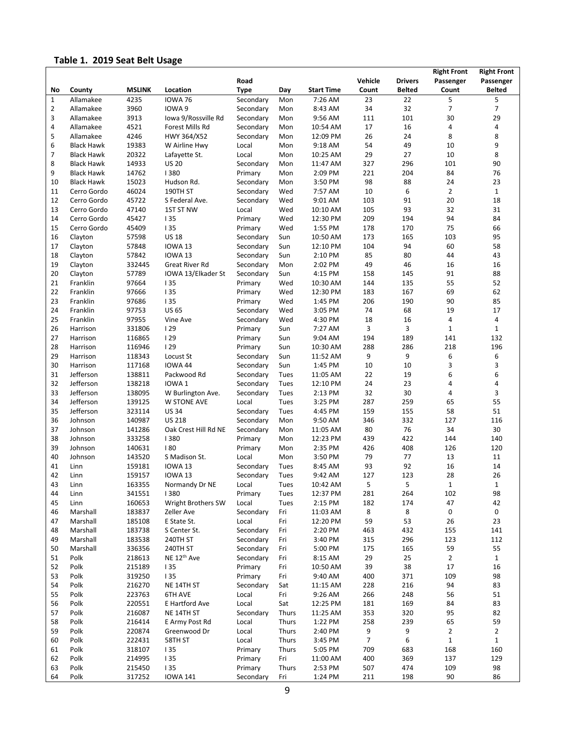## **Table 1. 2019 Seat Belt Usage**

|                |                   |                  |                         |             |       |                    |                |                | <b>Right Front</b> | <b>Right Front</b> |
|----------------|-------------------|------------------|-------------------------|-------------|-------|--------------------|----------------|----------------|--------------------|--------------------|
|                |                   |                  |                         | Road        |       |                    | Vehicle        | <b>Drivers</b> | Passenger          | Passenger          |
| No             | County            | <b>MSLINK</b>    | Location                | <b>Type</b> | Day   | <b>Start Time</b>  | Count          | <b>Belted</b>  | Count              | <b>Belted</b>      |
| $\mathbf{1}$   | Allamakee         | 4235             | <b>IOWA 76</b>          | Secondary   | Mon   | 7:26 AM            | 23             | 22             | 5                  | 5                  |
| $\overline{2}$ | Allamakee         | 3960             | IOWA 9                  | Secondary   | Mon   | 8:43 AM            | 34             | 32             | $\overline{7}$     | $\overline{7}$     |
| 3              | Allamakee         | 3913             | Iowa 9/Rossville Rd     | Secondary   | Mon   | 9:56 AM            | 111            | 101            | 30                 | 29                 |
| 4              | Allamakee         | 4521             | Forest Mills Rd         | Secondary   | Mon   | 10:54 AM           | 17             | 16             | 4                  | 4                  |
| 5              | Allamakee         | 4246             | HWY 364/X52             | Secondary   | Mon   | 12:09 PM           | 26             | 24             | 8                  | 8                  |
| 6              | <b>Black Hawk</b> | 19383            | W Airline Hwy           | Local       | Mon   | 9:18 AM            | 54             | 49             | 10                 | 9                  |
| 7              | <b>Black Hawk</b> | 20322            | Lafayette St.           | Local       | Mon   | 10:25 AM           | 29             | 27             | 10                 | 8                  |
| 8              | <b>Black Hawk</b> | 14933            | <b>US 20</b>            | Secondary   | Mon   | 11:47 AM           | 327            | 296            | 101                | 90                 |
| 9              | <b>Black Hawk</b> | 14762            | 1380                    | Primary     | Mon   | 2:09 PM            | 221            | 204            | 84                 | 76                 |
| 10             | <b>Black Hawk</b> | 15023            | Hudson Rd.              | Secondary   | Mon   | 3:50 PM            | 98             | 88             | 24                 | 23                 |
| 11             | Cerro Gordo       | 46024            | 190TH ST                | Secondary   | Wed   | 7:57 AM            | 10             | 6              | $\overline{2}$     | $\mathbf{1}$       |
| 12             | Cerro Gordo       | 45722            | S Federal Ave.          | Secondary   | Wed   | 9:01 AM            | 103            | 91             | 20                 | 18                 |
| 13             | Cerro Gordo       | 47140            | 1ST ST NW               | Local       | Wed   | 10:10 AM           | 105            | 93             | 32                 | 31                 |
| 14             | Cerro Gordo       | 45427            | 135                     | Primary     | Wed   | 12:30 PM           | 209            | 194            | 94                 | 84                 |
| 15             | Cerro Gordo       | 45409            | 135                     | Primary     | Wed   | 1:55 PM            | 178            | 170            | 75                 | 66                 |
| 16             | Clayton           | 57598            | <b>US 18</b>            | Secondary   | Sun   | 10:50 AM           | 173            | 165            | 103                | 95                 |
| 17             | Clayton           | 57848            | <b>IOWA 13</b>          | Secondary   | Sun   | 12:10 PM           | 104            | 94             | 60                 | 58                 |
| 18             | Clayton           | 57842            | <b>IOWA 13</b>          | Secondary   | Sun   | 2:10 PM            | 85             | 80             | 44                 | 43                 |
| 19             | Clayton           | 332445           | Great River Rd          | Secondary   | Mon   | 2:02 PM            | 49             | 46             | 16                 | 16                 |
| 20             | Clayton           | 57789            | IOWA 13/Elkader St      | Secondary   | Sun   | 4:15 PM            | 158            | 145            | 91                 | 88                 |
| 21             | Franklin          | 97664            | 135                     | Primary     | Wed   | 10:30 AM           | 144            | 135            | 55                 | 52                 |
| 22             | Franklin          | 97666            | 135                     | Primary     | Wed   | 12:30 PM           | 183            | 167            | 69                 | 62                 |
| 23             | Franklin          | 97686            | 135                     | Primary     | Wed   | 1:45 PM            | 206            | 190            | 90                 | 85                 |
| 24             | Franklin          | 97753            | <b>US 65</b>            | Secondary   | Wed   | 3:05 PM            | 74             | 68             | 19                 | 17                 |
| 25             | Franklin          | 97955            | Vine Ave                | Secondary   | Wed   | 4:30 PM            | 18             | 16             | 4                  | 4                  |
|                |                   |                  |                         |             |       |                    | 3              | 3              | $\mathbf{1}$       | $\mathbf{1}$       |
| 26<br>27       | Harrison          | 331806<br>116865 | 129<br>129              | Primary     | Sun   | 7:27 AM<br>9:04 AM | 194            | 189            | 141                | 132                |
|                | Harrison          |                  |                         | Primary     | Sun   |                    |                |                |                    |                    |
| 28             | Harrison          | 116946           | 129                     | Primary     | Sun   | 10:30 AM           | 288            | 286            | 218                | 196                |
| 29             | Harrison          | 118343           | Locust St               | Secondary   | Sun   | 11:52 AM           | 9              | 9              | 6                  | 6                  |
| 30             | Harrison          | 117168           | IOWA 44                 | Secondary   | Sun   | 1:45 PM            | 10             | 10             | 3                  | 3                  |
| 31             | Jefferson         | 138811           | Packwood Rd             | Secondary   | Tues  | 11:05 AM           | 22             | 19             | 6                  | 6                  |
| 32             | Jefferson         | 138218           | IOWA <sub>1</sub>       | Secondary   | Tues  | 12:10 PM           | 24             | 23             | 4                  | 4                  |
| 33             | Jefferson         | 138095           | W Burlington Ave.       | Secondary   | Tues  | 2:13 PM            | 32             | 30             | 4                  | 3                  |
| 34             | Jefferson         | 139125           | <b>W STONE AVE</b>      | Local       | Tues  | 3:25 PM            | 287            | 259            | 65                 | 55                 |
| 35             | Jefferson         | 323114           | <b>US 34</b>            | Secondary   | Tues  | 4:45 PM            | 159            | 155            | 58                 | 51                 |
| 36             | Johnson           | 140987           | <b>US 218</b>           | Secondary   | Mon   | 9:50 AM            | 346            | 332            | 127                | 116                |
| 37             | Johnson           | 141286           | Oak Crest Hill Rd NE    | Secondary   | Mon   | 11:05 AM           | 80             | 76             | 34                 | 30                 |
| 38             | Johnson           | 333258           | 1380                    | Primary     | Mon   | 12:23 PM           | 439            | 422            | 144                | 140                |
| 39             | Johnson           | 140631           | 180                     | Primary     | Mon   | 2:35 PM            | 426            | 408            | 126                | 120                |
| 40             | Johnson           | 143520           | S Madison St.           | Local       | Mon   | 3:50 PM            | 79             | 77             | 13                 | 11                 |
| 41             | Linn              | 159181           | <b>IOWA 13</b>          | Secondary   | Tues  | 8:45 AM            | 93             | 92             | 16                 | 14                 |
| 42             | Linn              | 159157           | <b>IOWA 13</b>          | Secondary   | Tues  | 9:42 AM            | 127            | 123            | 28                 | 26                 |
| 43             | Linn              | 163355           | Normandy Dr NE          | Local       | Tues  | 10:42 AM           | 5              | 5              | $\mathbf{1}$       | $\mathbf{1}$       |
| 44             | Linn              | 341551           | 1380                    | Primary     | Tues  | 12:37 PM           | 281            | 264            | 102                | 98                 |
| 45             | Linn              | 160653           | Wright Brothers SW      | Local       | Tues  | 2:15 PM            | 182            | 174            | 47                 | 42                 |
| 46             | Marshall          | 183837           | Zeller Ave              | Secondary   | Fri   | 11:03 AM           | 8              | 8              | 0                  | $\mathbf 0$        |
| 47             | Marshall          | 185108           | E State St.             | Local       | Fri   | 12:20 PM           | 59             | 53             | 26                 | 23                 |
| 48             | Marshall          | 183738           | S Center St.            | Secondary   | Fri   | 2:20 PM            | 463            | 432            | 155                | 141                |
| 49             | Marshall          | 183538           | 240TH ST                | Secondary   | Fri   | 3:40 PM            | 315            | 296            | 123                | 112                |
| 50             | Marshall          | 336356           | 240TH ST                | Secondary   | Fri   | 5:00 PM            | 175            | 165            | 59                 | 55                 |
| 51             | Polk              | 218613           | NE 12 <sup>th</sup> Ave | Secondary   | Fri   | 8:15 AM            | 29             | 25             | $\overline{2}$     | $\mathbf{1}$       |
| 52             | Polk              | 215189           | 135                     | Primary     | Fri   | 10:50 AM           | 39             | 38             | 17                 | 16                 |
| 53             | Polk              | 319250           | 135                     | Primary     | Fri   | 9:40 AM            | 400            | 371            | 109                | 98                 |
| 54             | Polk              | 216270           | NE 14TH ST              | Secondary   | Sat   | 11:15 AM           | 228            | 216            | 94                 | 83                 |
| 55             | Polk              | 223763           | 6TH AVE                 | Local       | Fri   | 9:26 AM            | 266            | 248            | 56                 | 51                 |
| 56             | Polk              | 220551           | E Hartford Ave          | Local       | Sat   | 12:25 PM           | 181            | 169            | 84                 | 83                 |
| 57             | Polk              | 216087           | NE 14TH ST              | Secondary   | Thurs | 11:25 AM           | 353            | 320            | 95                 | 82                 |
| 58             | Polk              | 216414           | E Army Post Rd          | Local       | Thurs | 1:22 PM            | 258            | 239            | 65                 | 59                 |
| 59             | Polk              | 220874           | Greenwood Dr            | Local       | Thurs | 2:40 PM            | 9              | 9              | 2                  | $\overline{2}$     |
| 60             | Polk              | 222431           | 58TH ST                 | Local       | Thurs | 3:45 PM            | $\overline{7}$ | 6              | $1\,$              | $\mathbf{1}$       |
| 61             | Polk              | 318107           | 135                     | Primary     | Thurs | 5:05 PM            | 709            | 683            | 168                | 160                |
| 62             | Polk              | 214995           | 135                     | Primary     | Fri   | 11:00 AM           | 400            | 369            | 137                | 129                |
| 63             | Polk              | 215450           | 135                     | Primary     | Thurs | 2:53 PM            | 507            | 474            | 109                | 98                 |
| 64             | Polk              | 317252           | <b>IOWA 141</b>         | Secondary   | Fri   | 1:24 PM            | 211            | 198            | 90                 | 86                 |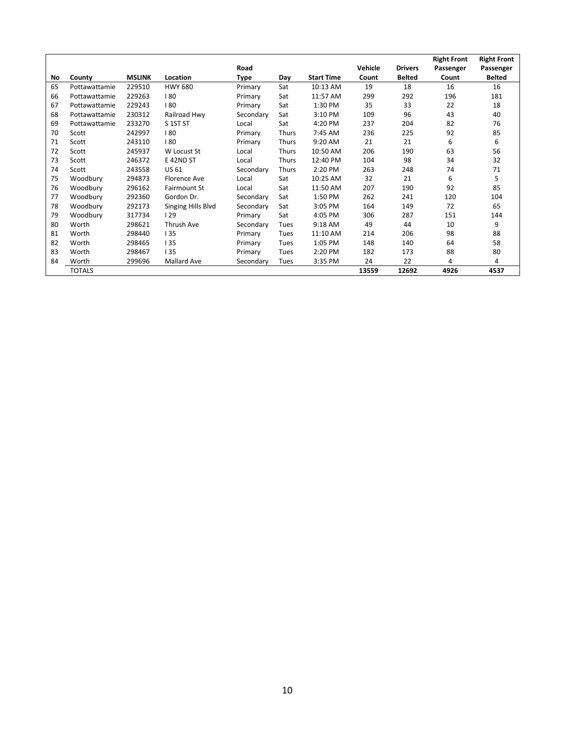|    |               |               |                    |           |              |                   |         |                | <b>Right Front</b> | <b>Right Front</b> |
|----|---------------|---------------|--------------------|-----------|--------------|-------------------|---------|----------------|--------------------|--------------------|
|    |               |               |                    | Road      |              |                   | Vehicle | <b>Drivers</b> | Passenger          | Passenger          |
| No | County        | <b>MSLINK</b> | Location           | Type      | Day          | <b>Start Time</b> | Count   | <b>Belted</b>  | Count              | <b>Belted</b>      |
| 65 | Pottawattamie | 229510        | <b>HWY 680</b>     | Primary   | Sat          | 10:13 AM          | 19      | 18             | 16                 | 16                 |
| 66 | Pottawattamie | 229263        | 180                | Primary   | Sat          | 11:57 AM          | 299     | 292            | 196                | 181                |
| 67 | Pottawattamie | 229243        | 180                | Primary   | Sat          | 1:30 PM           | 35      | 33             | 22                 | 18                 |
| 68 | Pottawattamie | 230312        | Railroad Hwy       | Secondary | Sat          | 3:10 PM           | 109     | 96             | 43                 | 40                 |
| 69 | Pottawattamie | 233270        | S 1ST ST           | Local     | Sat          | 4:20 PM           | 237     | 204            | 82                 | 76                 |
| 70 | Scott         | 242997        | 180                | Primary   | <b>Thurs</b> | 7:45 AM           | 236     | 225            | 92                 | 85                 |
| 71 | Scott         | 243110        | 180                | Primary   | Thurs        | 9:20 AM           | 21      | 21             | 6                  | 6                  |
| 72 | Scott         | 245937        | W Locust St        | Local     | <b>Thurs</b> | 10:50 AM          | 206     | 190            | 63                 | 56                 |
| 73 | Scott         | 246372        | E 42ND ST          | Local     | <b>Thurs</b> | 12:40 PM          | 104     | 98             | 34                 | 32                 |
| 74 | Scott         | 243558        | US 61              | Secondary | Thurs        | 2:20 PM           | 263     | 248            | 74                 | 71                 |
| 75 | Woodbury      | 294873        | Florence Ave       | Local     | Sat          | 10:25 AM          | 32      | 21             | 6                  | 5                  |
| 76 | Woodbury      | 296162        | Fairmount St       | Local     | Sat          | 11:50 AM          | 207     | 190            | 92                 | 85                 |
| 77 | Woodbury      | 292360        | Gordon Dr.         | Secondary | Sat          | 1:50 PM           | 262     | 241            | 120                | 104                |
| 78 | Woodbury      | 292173        | Singing Hills Blvd | Secondary | Sat          | 3:05 PM           | 164     | 149            | 72                 | 65                 |
| 79 | Woodbury      | 317734        | 129                | Primary   | Sat          | 4:05 PM           | 306     | 287            | 151                | 144                |
| 80 | Worth         | 298621        | Thrush Ave         | Secondary | Tues         | 9:18 AM           | 49      | 44             | 10                 | 9                  |
| 81 | Worth         | 298440        | 135                | Primary   | Tues         | 11:10 AM          | 214     | 206            | 98                 | 88                 |
| 82 | Worth         | 298465        | 135                | Primary   | Tues         | 1:05 PM           | 148     | 140            | 64                 | 58                 |
| 83 | Worth         | 298467        | 135                | Primary   | Tues         | 2:20 PM           | 182     | 173            | 88                 | 80                 |
| 84 | Worth         | 299696        | Mallard Ave        | Secondary | Tues         | 3:35 PM           | 24      | 22             | 4                  | 4                  |
|    | <b>TOTALS</b> |               |                    |           |              |                   | 13559   | 12692          | 4926               | 4537               |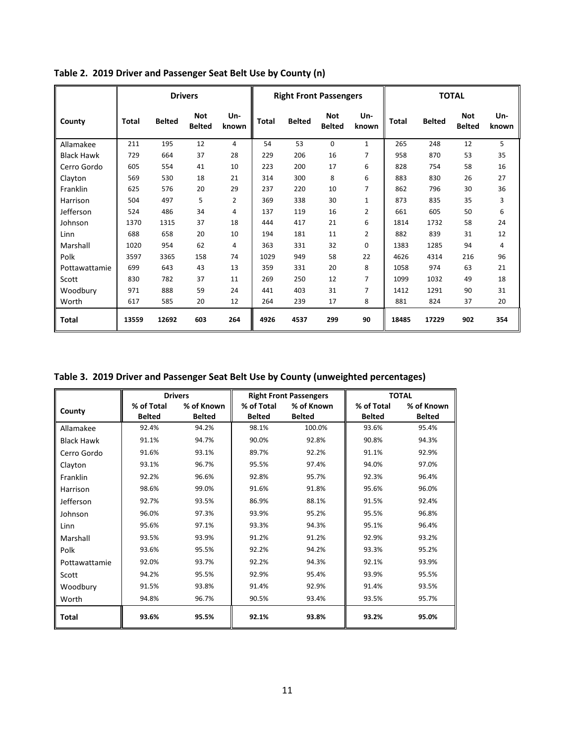|                   | <b>Drivers</b> |               |                             |                | <b>Right Front Passengers</b> |               |                             |                | <b>TOTAL</b> |               |                             |              |
|-------------------|----------------|---------------|-----------------------------|----------------|-------------------------------|---------------|-----------------------------|----------------|--------------|---------------|-----------------------------|--------------|
| County            | Total          | <b>Belted</b> | <b>Not</b><br><b>Belted</b> | Un-<br>known   | <b>Total</b>                  | <b>Belted</b> | <b>Not</b><br><b>Belted</b> | Un-<br>known   | <b>Total</b> | <b>Belted</b> | <b>Not</b><br><b>Belted</b> | Un-<br>known |
| Allamakee         | 211            | 195           | 12                          | 4              | 54                            | 53            | $\mathbf 0$                 | $\mathbf{1}$   | 265          | 248           | 12                          | 5            |
| <b>Black Hawk</b> | 729            | 664           | 37                          | 28             | 229                           | 206           | 16                          | 7              | 958          | 870           | 53                          | 35           |
| Cerro Gordo       | 605            | 554           | 41                          | 10             | 223                           | 200           | 17                          | 6              | 828          | 754           | 58                          | 16           |
| Clayton           | 569            | 530           | 18                          | 21             | 314                           | 300           | 8                           | 6              | 883          | 830           | 26                          | 27           |
| Franklin          | 625            | 576           | 20                          | 29             | 237                           | 220           | 10                          | 7              | 862          | 796           | 30                          | 36           |
| Harrison          | 504            | 497           | 5                           | $\overline{2}$ | 369                           | 338           | 30                          | $\mathbf{1}$   | 873          | 835           | 35                          | 3            |
| Jefferson         | 524            | 486           | 34                          | 4              | 137                           | 119           | 16                          | $\overline{2}$ | 661          | 605           | 50                          | 6            |
| Johnson           | 1370           | 1315          | 37                          | 18             | 444                           | 417           | 21                          | 6              | 1814         | 1732          | 58                          | 24           |
| Linn              | 688            | 658           | 20                          | 10             | 194                           | 181           | 11                          | $\overline{2}$ | 882          | 839           | 31                          | 12           |
| Marshall          | 1020           | 954           | 62                          | 4              | 363                           | 331           | 32                          | 0              | 1383         | 1285          | 94                          | 4            |
| Polk              | 3597           | 3365          | 158                         | 74             | 1029                          | 949           | 58                          | 22             | 4626         | 4314          | 216                         | 96           |
| Pottawattamie     | 699            | 643           | 43                          | 13             | 359                           | 331           | 20                          | 8              | 1058         | 974           | 63                          | 21           |
| Scott             | 830            | 782           | 37                          | 11             | 269                           | 250           | 12                          | 7              | 1099         | 1032          | 49                          | 18           |
| Woodbury          | 971            | 888           | 59                          | 24             | 441                           | 403           | 31                          | 7              | 1412         | 1291          | 90                          | 31           |
| Worth             | 617            | 585           | 20                          | 12             | 264                           | 239           | 17                          | 8              | 881          | 824           | 37                          | 20           |
| Total             | 13559          | 12692         | 603                         | 264            | 4926                          | 4537          | 299                         | 90             | 18485        | 17229         | 902                         | 354          |

**Table 2. 2019 Driver and Passenger Seat Belt Use by County (n)**

**Table 3. 2019 Driver and Passenger Seat Belt Use by County (unweighted percentages)**

|                   |               | <b>Drivers</b> |               | <b>Right Front Passengers</b> |               | <b>TOTAL</b>  |
|-------------------|---------------|----------------|---------------|-------------------------------|---------------|---------------|
| County            | % of Total    | % of Known     | % of Total    | % of Known                    | % of Total    | % of Known    |
|                   | <b>Belted</b> | <b>Belted</b>  | <b>Belted</b> | <b>Belted</b>                 | <b>Belted</b> | <b>Belted</b> |
| Allamakee         | 92.4%         | 94.2%          | 98.1%         | 100.0%                        | 93.6%         | 95.4%         |
| <b>Black Hawk</b> | 91.1%         | 94.7%          | 90.0%         | 92.8%                         | 90.8%         | 94.3%         |
| Cerro Gordo       | 91.6%         | 93.1%          | 89.7%         | 92.2%                         | 91.1%         | 92.9%         |
| Clayton           | 93.1%         | 96.7%          | 95.5%         | 97.4%                         | 94.0%         | 97.0%         |
| Franklin          | 92.2%         | 96.6%          | 92.8%         | 95.7%                         | 92.3%         | 96.4%         |
| Harrison          | 98.6%         | 99.0%          | 91.6%         | 91.8%                         | 95.6%         | 96.0%         |
| Jefferson         | 92.7%         | 93.5%          | 86.9%         | 88.1%                         | 91.5%         | 92.4%         |
| Johnson           | 96.0%         | 97.3%          | 93.9%         | 95.2%                         | 95.5%         | 96.8%         |
| Linn              | 95.6%         | 97.1%          | 93.3%         | 94.3%                         | 95.1%         | 96.4%         |
| Marshall          | 93.5%         | 93.9%          | 91.2%         | 91.2%                         | 92.9%         | 93.2%         |
| Polk              | 93.6%         | 95.5%          | 92.2%         | 94.2%                         | 93.3%         | 95.2%         |
| Pottawattamie     | 92.0%         | 93.7%          | 92.2%         | 94.3%                         | 92.1%         | 93.9%         |
| Scott             | 94.2%         | 95.5%          | 92.9%         | 95.4%                         | 93.9%         | 95.5%         |
| Woodbury          | 91.5%         | 93.8%          | 91.4%         | 92.9%                         | 91.4%         | 93.5%         |
| Worth             | 94.8%         | 96.7%          | 90.5%         | 93.4%                         | 93.5%         | 95.7%         |
| Total             | 93.6%         | 95.5%          | 92.1%         | 93.8%                         | 93.2%         | 95.0%         |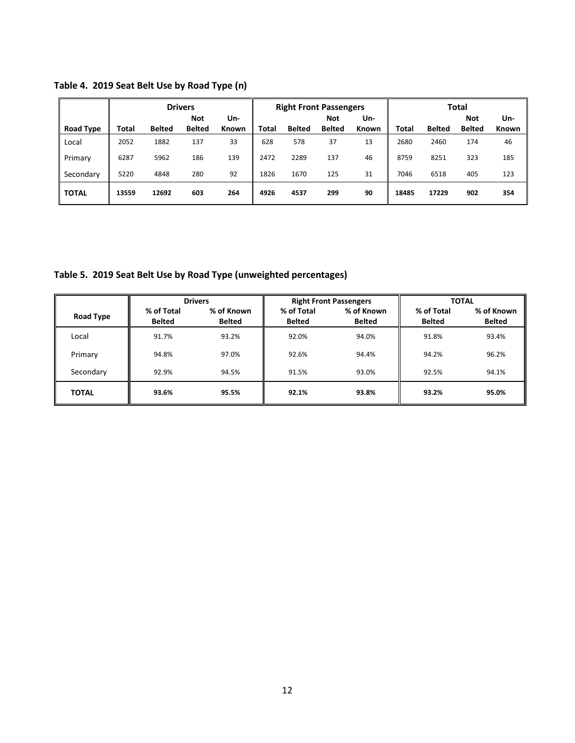|                  |       |               | <b>Drivers</b>              |              | <b>Right Front Passengers</b> |               |                             |              | <b>Total</b> |               |                             |                     |
|------------------|-------|---------------|-----------------------------|--------------|-------------------------------|---------------|-----------------------------|--------------|--------------|---------------|-----------------------------|---------------------|
| <b>Road Type</b> | Total | <b>Belted</b> | <b>Not</b><br><b>Belted</b> | Un-<br>Known | <b>Total</b>                  | <b>Belted</b> | <b>Not</b><br><b>Belted</b> | Un-<br>Known | <b>Total</b> | <b>Belted</b> | <b>Not</b><br><b>Belted</b> | Un-<br><b>Known</b> |
| Local            | 2052  | 1882          | 137                         | 33           | 628                           | 578           | 37                          | 13           | 2680         | 2460          | 174                         | 46                  |
|                  |       |               |                             |              |                               |               |                             |              |              |               |                             |                     |
| Primary          | 6287  | 5962          | 186                         | 139          | 2472                          | 2289          | 137                         | 46           | 8759         | 8251          | 323                         | 185                 |
| Secondary        | 5220  | 4848          | 280                         | 92           | 1826                          | 1670          | 125                         | 31           | 7046         | 6518          | 405                         | 123                 |
| <b>TOTAL</b>     | 13559 | 12692         | 603                         | 264          | 4926                          | 4537          | 299                         | 90           | 18485        | 17229         | 902                         | 354                 |

**Table 4. 2019 Seat Belt Use by Road Type (n)**

**Table 5. 2019 Seat Belt Use by Road Type (unweighted percentages)**

|              |               | <b>Drivers</b> |               | <b>Right Front Passengers</b> |               | <b>TOTAL</b>  |
|--------------|---------------|----------------|---------------|-------------------------------|---------------|---------------|
| Road Type    | % of Total    | % of Known     | % of Total    | % of Known                    | % of Total    | % of Known    |
|              | <b>Belted</b> | <b>Belted</b>  | <b>Belted</b> | <b>Belted</b>                 | <b>Belted</b> | <b>Belted</b> |
| Local        | 91.7%         | 93.2%          | 92.0%         | 94.0%                         | 91.8%         | 93.4%         |
| Primary      | 94.8%         | 97.0%          | 92.6%         | 94.4%                         | 94.2%         | 96.2%         |
| Secondary    | 92.9%         | 94.5%          | 91.5%         | 93.0%                         | 92.5%         | 94.1%         |
| <b>TOTAL</b> | 93.6%         | 95.5%          | 92.1%         | 93.8%                         | 93.2%         | 95.0%         |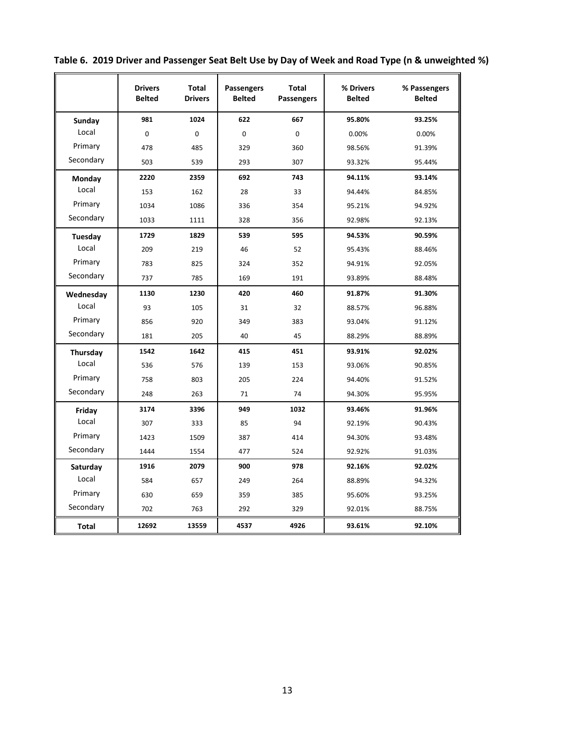|              | <b>Drivers</b><br><b>Belted</b> | <b>Total</b><br><b>Drivers</b> | <b>Passengers</b><br><b>Belted</b> | <b>Total</b><br><b>Passengers</b> | % Drivers<br><b>Belted</b> | % Passengers<br><b>Belted</b> |
|--------------|---------------------------------|--------------------------------|------------------------------------|-----------------------------------|----------------------------|-------------------------------|
| Sunday       | 981                             | 1024                           | 622                                | 667                               | 95.80%                     | 93.25%                        |
| Local        | $\mathbf 0$                     | $\mathbf 0$                    | $\mathbf 0$                        | $\mathbf 0$                       | 0.00%                      | 0.00%                         |
| Primary      | 478                             | 485                            | 329                                | 360                               | 98.56%                     | 91.39%                        |
| Secondary    | 503                             | 539                            | 293                                | 307                               | 93.32%                     | 95.44%                        |
| Monday       | 2220                            | 2359                           | 692                                | 743                               | 94.11%                     | 93.14%                        |
| Local        | 153                             | 162                            | 28                                 | 33                                | 94.44%                     | 84.85%                        |
| Primary      | 1034                            | 1086                           | 336                                | 354                               | 95.21%                     | 94.92%                        |
| Secondary    | 1033                            | 1111                           | 328                                | 356                               | 92.98%                     | 92.13%                        |
| Tuesday      | 1729                            | 1829                           | 539                                | 595                               | 94.53%                     | 90.59%                        |
| Local        | 209                             | 219                            | 46                                 | 52                                | 95.43%                     | 88.46%                        |
| Primary      | 783                             | 825                            | 324                                | 352                               | 94.91%                     | 92.05%                        |
| Secondary    | 737                             | 785                            | 169                                | 191                               | 93.89%                     | 88.48%                        |
| Wednesday    | 1130                            | 1230                           | 420                                | 460                               | 91.87%                     | 91.30%                        |
| Local        | 93                              | 105                            | 31                                 | 32                                | 88.57%                     | 96.88%                        |
| Primary      | 856                             | 920                            | 349                                | 383                               | 93.04%                     | 91.12%                        |
| Secondary    | 181                             | 205                            | 40                                 | 45                                | 88.29%                     | 88.89%                        |
| Thursday     | 1542                            | 1642                           | 415                                | 451                               | 93.91%                     | 92.02%                        |
| Local        | 536                             | 576                            | 139                                | 153                               | 93.06%                     | 90.85%                        |
| Primary      | 758                             | 803                            | 205                                | 224                               | 94.40%                     | 91.52%                        |
| Secondary    | 248                             | 263                            | 71                                 | 74                                | 94.30%                     | 95.95%                        |
| Friday       | 3174                            | 3396                           | 949                                | 1032                              | 93.46%                     | 91.96%                        |
| Local        | 307                             | 333                            | 85                                 | 94                                | 92.19%                     | 90.43%                        |
| Primary      | 1423                            | 1509                           | 387                                | 414                               | 94.30%                     | 93.48%                        |
| Secondary    | 1444                            | 1554                           | 477                                | 524                               | 92.92%                     | 91.03%                        |
| Saturday     | 1916                            | 2079                           | 900                                | 978                               | 92.16%                     | 92.02%                        |
| Local        | 584                             | 657                            | 249                                | 264                               | 88.89%                     | 94.32%                        |
| Primary      | 630                             | 659                            | 359                                | 385                               | 95.60%                     | 93.25%                        |
| Secondary    | 702                             | 763                            | 292                                | 329                               | 92.01%                     | 88.75%                        |
| <b>Total</b> | 12692                           | 13559                          | 4537                               | 4926                              | 93.61%                     | 92.10%                        |

**Table 6. 2019 Driver and Passenger Seat Belt Use by Day of Week and Road Type (n & unweighted %)**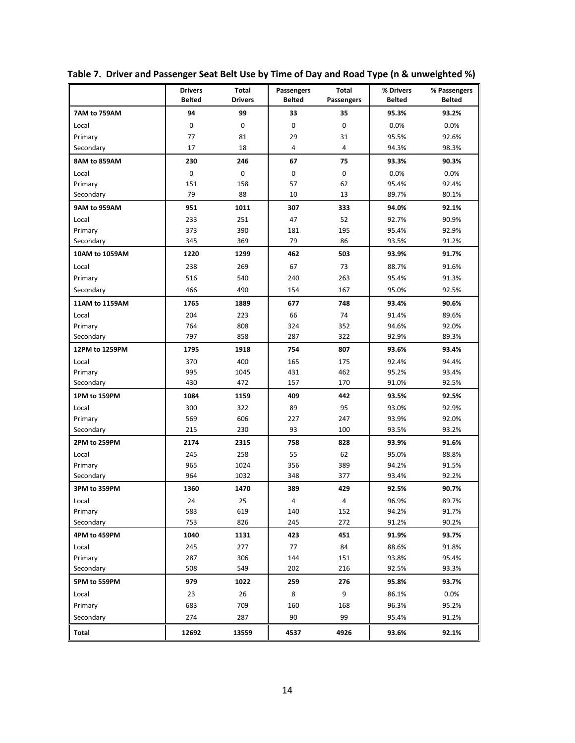|                | <b>Drivers</b><br><b>Belted</b> | Total<br><b>Drivers</b> | <b>Passengers</b><br><b>Belted</b> | Total<br>Passengers | % Drivers<br><b>Belted</b> | % Passengers<br><b>Belted</b> |
|----------------|---------------------------------|-------------------------|------------------------------------|---------------------|----------------------------|-------------------------------|
| 7AM to 759AM   | 94                              | 99                      | 33                                 | 35                  | 95.3%                      | 93.2%                         |
| Local          | 0                               | 0                       | 0                                  | 0                   | 0.0%                       | 0.0%                          |
| Primary        | 77                              | 81                      | 29                                 | 31                  | 95.5%                      | 92.6%                         |
| Secondary      | 17                              | 18                      | $\overline{4}$                     | 4                   | 94.3%                      | 98.3%                         |
| 8AM to 859AM   | 230                             | 246                     | 67                                 | 75                  | 93.3%                      | 90.3%                         |
| Local          | 0                               | 0                       | 0                                  | 0                   | 0.0%                       | 0.0%                          |
| Primary        | 151                             | 158                     | 57                                 | 62                  | 95.4%                      | 92.4%                         |
| Secondary      | 79                              | 88                      | 10                                 | 13                  | 89.7%                      | 80.1%                         |
| 9AM to 959AM   | 951                             | 1011                    | 307                                | 333                 | 94.0%                      | 92.1%                         |
| Local          | 233                             | 251                     | 47                                 | 52                  | 92.7%                      | 90.9%                         |
| Primary        | 373                             | 390                     | 181                                | 195                 | 95.4%                      | 92.9%                         |
| Secondary      | 345                             | 369                     | 79                                 | 86                  | 93.5%                      | 91.2%                         |
| 10AM to 1059AM | 1220                            | 1299                    | 462                                | 503                 | 93.9%                      | 91.7%                         |
| Local          | 238                             | 269                     | 67                                 | 73                  | 88.7%                      | 91.6%                         |
| Primary        | 516                             | 540                     | 240                                | 263                 | 95.4%                      | 91.3%                         |
| Secondary      | 466                             | 490                     | 154                                | 167                 | 95.0%                      | 92.5%                         |
| 11AM to 1159AM | 1765                            | 1889                    | 677                                | 748                 | 93.4%                      | 90.6%                         |
| Local          | 204                             | 223                     | 66                                 | 74                  | 91.4%                      | 89.6%                         |
| Primary        | 764                             | 808                     | 324                                | 352                 | 94.6%                      | 92.0%                         |
| Secondary      | 797                             | 858                     | 287                                | 322                 | 92.9%                      | 89.3%                         |
| 12PM to 1259PM | 1795                            | 1918                    | 754                                | 807                 | 93.6%                      | 93.4%                         |
| Local          | 370                             | 400                     | 165                                | 175                 | 92.4%                      | 94.4%                         |
| Primary        | 995                             | 1045                    | 431                                | 462                 | 95.2%                      | 93.4%                         |
| Secondary      | 430                             | 472                     | 157                                | 170                 | 91.0%                      | 92.5%                         |
| 1PM to 159PM   | 1084                            | 1159                    | 409                                | 442                 | 93.5%                      | 92.5%                         |
| Local          | 300                             | 322                     | 89                                 | 95                  | 93.0%                      | 92.9%                         |
| Primary        | 569                             | 606                     | 227                                | 247                 | 93.9%                      | 92.0%                         |
| Secondary      | 215                             | 230                     | 93                                 | 100                 | 93.5%                      | 93.2%                         |
| 2PM to 259PM   | 2174                            | 2315                    | 758                                | 828                 | 93.9%                      | 91.6%                         |
| Local          | 245                             | 258                     | 55                                 | 62                  | 95.0%                      | 88.8%                         |
| Primary        | 965                             | 1024                    | 356                                | 389                 | 94.2%                      | 91.5%                         |
| Secondary      | 964                             | 1032                    | 348                                | 377                 | 93.4%                      | 92.2%                         |
| 3PM to 359PM   | 1360                            | 1470                    | 389                                | 429                 | 92.5%                      | 90.7%                         |
| Local          | 24                              | 25                      | 4                                  | 4                   | 96.9%                      | 89.7%                         |
| Primary        | 583                             | 619                     | 140                                | 152                 | 94.2%                      | 91.7%                         |
| Secondary      | 753                             | 826                     | 245                                | 272                 | 91.2%                      | 90.2%                         |
| 4PM to 459PM   | 1040                            | 1131                    | 423                                | 451                 | 91.9%                      | 93.7%                         |
| Local          | 245                             | 277                     | 77                                 | 84                  | 88.6%                      | 91.8%                         |
| Primary        | 287                             | 306                     | 144                                | 151                 | 93.8%                      | 95.4%                         |
| Secondary      | 508                             | 549                     | 202                                | 216                 | 92.5%                      | 93.3%                         |
| 5PM to 559PM   | 979                             | 1022                    | 259                                | 276                 | 95.8%                      | 93.7%                         |
| Local          | 23                              | 26                      | 8                                  | 9                   | 86.1%                      | 0.0%                          |
| Primary        | 683                             | 709                     | 160                                | 168                 | 96.3%                      | 95.2%                         |
| Secondary      | 274                             | 287                     | 90                                 | 99                  | 95.4%                      | 91.2%                         |
| Total          | 12692                           | 13559                   | 4537                               | 4926                | 93.6%                      | 92.1%                         |

**Table 7. Driver and Passenger Seat Belt Use by Time of Day and Road Type (n & unweighted %)**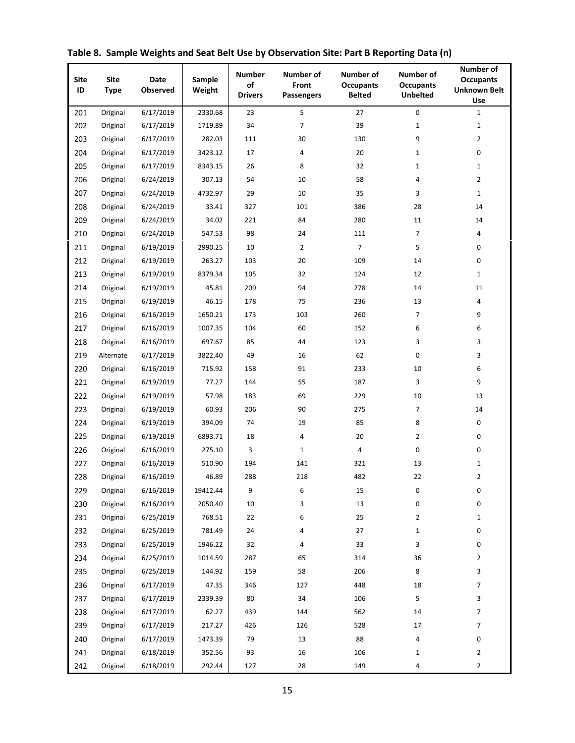| <b>Site</b><br>ID | <b>Site</b><br><b>Type</b> | <b>Date</b><br>Observed | Sample<br>Weight | <b>Number</b><br>of<br><b>Drivers</b> | Number of<br>Front<br>Passengers | Number of<br><b>Occupants</b><br><b>Belted</b> | Number of<br><b>Occupants</b><br><b>Unbelted</b> | Number of<br><b>Occupants</b><br><b>Unknown Belt</b><br>Use |
|-------------------|----------------------------|-------------------------|------------------|---------------------------------------|----------------------------------|------------------------------------------------|--------------------------------------------------|-------------------------------------------------------------|
| 201               | Original                   | 6/17/2019               | 2330.68          | 23                                    | 5                                | 27                                             | $\pmb{0}$                                        | $\mathbf{1}$                                                |
| 202               | Original                   | 6/17/2019               | 1719.89          | 34                                    | 7                                | 39                                             | $\mathbf{1}$                                     | $\mathbf{1}$                                                |
| 203               | Original                   | 6/17/2019               | 282.03           | 111                                   | 30                               | 130                                            | 9                                                | $\overline{2}$                                              |
| 204               | Original                   | 6/17/2019               | 3423.12          | 17                                    | 4                                | 20                                             | $\mathbf{1}$                                     | 0                                                           |
| 205               | Original                   | 6/17/2019               | 8343.15          | 26                                    | 8                                | 32                                             | $\mathbf{1}$                                     | $\mathbf{1}$                                                |
| 206               | Original                   | 6/24/2019               | 307.13           | 54                                    | 10                               | 58                                             | 4                                                | $\overline{2}$                                              |
| 207               | Original                   | 6/24/2019               | 4732.97          | 29                                    | 10                               | 35                                             | 3                                                | $\mathbf{1}$                                                |
| 208               | Original                   | 6/24/2019               | 33.41            | 327                                   | 101                              | 386                                            | 28                                               | 14                                                          |
| 209               | Original                   | 6/24/2019               | 34.02            | 221                                   | 84                               | 280                                            | 11                                               | 14                                                          |
| 210               | Original                   | 6/24/2019               | 547.53           | 98                                    | 24                               | 111                                            | 7                                                | 4                                                           |
| 211               | Original                   | 6/19/2019               | 2990.25          | 10                                    | $\overline{2}$                   | $\overline{7}$                                 | 5                                                | 0                                                           |
| 212               | Original                   | 6/19/2019               | 263.27           | 103                                   | 20                               | 109                                            | 14                                               | 0                                                           |
| 213               | Original                   | 6/19/2019               | 8379.34          | 105                                   | 32                               | 124                                            | 12                                               | $\mathbf{1}$                                                |
| 214               | Original                   | 6/19/2019               | 45.81            | 209                                   | 94                               | 278                                            | 14                                               | 11                                                          |
| 215               | Original                   | 6/19/2019               | 46.15            | 178                                   | 75                               | 236                                            | 13                                               | 4                                                           |
| 216               | Original                   | 6/16/2019               | 1650.21          | 173                                   | 103                              | 260                                            | $\overline{7}$                                   | 9                                                           |
| 217               | Original                   | 6/16/2019               | 1007.35          | 104                                   | 60                               | 152                                            | 6                                                | 6                                                           |
| 218               | Original                   | 6/16/2019               | 697.67           | 85                                    | 44                               | 123                                            | 3                                                | 3                                                           |
| 219               | Alternate                  | 6/17/2019               | 3822.40          | 49                                    | 16                               | 62                                             | 0                                                | 3                                                           |
| 220               | Original                   | 6/16/2019               | 715.92           | 158                                   | 91                               | 233                                            | 10                                               | 6                                                           |
| 221               | Original                   | 6/19/2019               | 77.27            | 144                                   | 55                               | 187                                            | 3                                                | 9                                                           |
| 222               | Original                   | 6/19/2019               | 57.98            | 183                                   | 69                               | 229                                            | 10                                               | 13                                                          |
| 223               | Original                   | 6/19/2019               | 60.93            | 206                                   | 90                               | 275                                            | $\overline{7}$                                   | 14                                                          |
| 224               | Original                   | 6/19/2019               | 394.09           | 74                                    | 19                               | 85                                             | 8                                                | 0                                                           |
| 225               | Original                   | 6/19/2019               | 6893.71          | 18                                    | 4                                | 20                                             | 2                                                | 0                                                           |
| 226               | Original                   | 6/16/2019               | 275.10           | 3                                     | $\mathbf{1}$                     | 4                                              | 0                                                | 0                                                           |
| 227               | Original                   | 6/16/2019               | 510.90           | 194                                   | 141                              | 321                                            | 13                                               | $\mathbf{1}$                                                |
| 228               | Original                   | 6/16/2019               | 46.89            | 288                                   | 218                              | 482                                            | 22                                               | $\overline{2}$                                              |
| 229               | Original                   | 6/16/2019               | 19412.44         | 9                                     | 6                                | 15                                             | 0                                                | 0                                                           |
| 230               | Original                   | 6/16/2019               | 2050.40          | 10                                    | 3                                | 13                                             | 0                                                | 0                                                           |
| 231               | Original                   | 6/25/2019               | 768.51           | 22                                    | 6                                | 25                                             | 2                                                | $\mathbf{1}$                                                |
| 232               | Original                   | 6/25/2019               | 781.49           | 24                                    | 4                                | 27                                             | $\mathbf{1}$                                     | 0                                                           |
| 233               | Original                   | 6/25/2019               | 1946.22          | 32                                    | 4                                | 33                                             | 3                                                | 0                                                           |
| 234               | Original                   | 6/25/2019               | 1014.59          | 287                                   | 65                               | 314                                            | 36                                               | $\overline{2}$                                              |
| 235               | Original                   | 6/25/2019               | 144.92           | 159                                   | 58                               | 206                                            | 8                                                | 3                                                           |
| 236               | Original                   | 6/17/2019               | 47.35            | 346                                   | 127                              | 448                                            | 18                                               | 7                                                           |
| 237               | Original                   | 6/17/2019               | 2339.39          | 80                                    | 34                               | 106                                            | 5                                                | 3                                                           |
| 238               | Original                   | 6/17/2019               | 62.27            | 439                                   | 144                              | 562                                            | 14                                               | 7                                                           |
| 239               | Original                   | 6/17/2019               | 217.27           | 426                                   | 126                              | 528                                            | 17                                               | $\overline{7}$                                              |
| 240               | Original                   | 6/17/2019               | 1473.39          | 79                                    | 13                               | 88                                             | 4                                                | 0                                                           |
| 241               | Original                   | 6/18/2019               | 352.56           | 93                                    | 16                               | 106                                            | 1                                                | $\overline{2}$                                              |
| 242               | Original                   | 6/18/2019               | 292.44           | 127                                   | 28                               | 149                                            | 4                                                | $\overline{2}$                                              |

**Table 8. Sample Weights and Seat Belt Use by Observation Site: Part B Reporting Data (n)**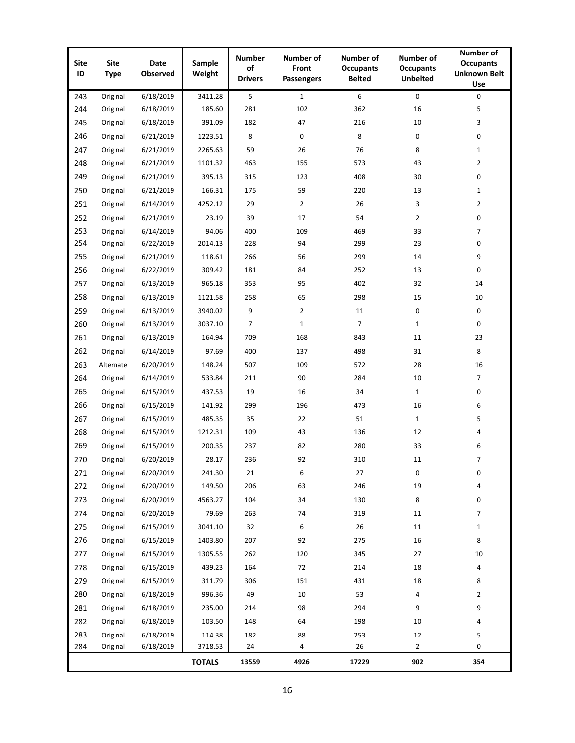| <b>Site</b><br>ID | <b>Site</b><br><b>Type</b> | Date<br>Observed | Sample<br>Weight | <b>Number</b><br>of<br><b>Drivers</b> | Number of<br>Front<br><b>Passengers</b> | Number of<br><b>Occupants</b><br><b>Belted</b> | <b>Number of</b><br><b>Occupants</b><br><b>Unbelted</b> | Number of<br><b>Occupants</b><br><b>Unknown Belt</b><br>Use |
|-------------------|----------------------------|------------------|------------------|---------------------------------------|-----------------------------------------|------------------------------------------------|---------------------------------------------------------|-------------------------------------------------------------|
| 243               | Original                   | 6/18/2019        | 3411.28          | 5                                     | $\mathbf{1}$                            | 6                                              | 0                                                       | 0                                                           |
| 244               | Original                   | 6/18/2019        | 185.60           | 281                                   | 102                                     | 362                                            | 16                                                      | 5                                                           |
| 245               | Original                   | 6/18/2019        | 391.09           | 182                                   | 47                                      | 216                                            | 10                                                      | 3                                                           |
| 246               | Original                   | 6/21/2019        | 1223.51          | 8                                     | 0                                       | 8                                              | 0                                                       | 0                                                           |
| 247               | Original                   | 6/21/2019        | 2265.63          | 59                                    | 26                                      | 76                                             | 8                                                       | $\mathbf{1}$                                                |
| 248               | Original                   | 6/21/2019        | 1101.32          | 463                                   | 155                                     | 573                                            | 43                                                      | $\overline{2}$                                              |
| 249               | Original                   | 6/21/2019        | 395.13           | 315                                   | 123                                     | 408                                            | 30                                                      | 0                                                           |
| 250               | Original                   | 6/21/2019        | 166.31           | 175                                   | 59                                      | 220                                            | 13                                                      | $\mathbf{1}$                                                |
| 251               | Original                   | 6/14/2019        | 4252.12          | 29                                    | $\overline{2}$                          | 26                                             | 3                                                       | $\overline{2}$                                              |
| 252               | Original                   | 6/21/2019        | 23.19            | 39                                    | 17                                      | 54                                             | $\overline{2}$                                          | 0                                                           |
| 253               | Original                   | 6/14/2019        | 94.06            | 400                                   | 109                                     | 469                                            | 33                                                      | $\overline{7}$                                              |
| 254               | Original                   | 6/22/2019        | 2014.13          | 228                                   | 94                                      | 299                                            | 23                                                      | 0                                                           |
| 255               | Original                   | 6/21/2019        | 118.61           | 266                                   | 56                                      | 299                                            | 14                                                      | 9                                                           |
| 256               | Original                   | 6/22/2019        | 309.42           | 181                                   | 84                                      | 252                                            | 13                                                      | 0                                                           |
| 257               | Original                   | 6/13/2019        | 965.18           | 353                                   | 95                                      | 402                                            | 32                                                      | 14                                                          |
| 258               | Original                   | 6/13/2019        | 1121.58          | 258                                   | 65                                      | 298                                            | 15                                                      | 10                                                          |
| 259               | Original                   | 6/13/2019        | 3940.02          | 9                                     | $\overline{2}$                          | 11                                             | 0                                                       | 0                                                           |
| 260               | Original                   | 6/13/2019        | 3037.10          | 7                                     | $\mathbf{1}$                            | $\overline{7}$                                 | $\mathbf{1}$                                            | 0                                                           |
| 261               | Original                   | 6/13/2019        | 164.94           | 709                                   | 168                                     | 843                                            | 11                                                      | 23                                                          |
| 262               | Original                   | 6/14/2019        | 97.69            | 400                                   | 137                                     | 498                                            | 31                                                      | 8                                                           |
| 263               | Alternate                  | 6/20/2019        | 148.24           | 507                                   | 109                                     | 572                                            | 28                                                      | 16                                                          |
| 264               | Original                   | 6/14/2019        | 533.84           | 211                                   | 90                                      | 284                                            | 10                                                      | 7                                                           |
| 265               | Original                   | 6/15/2019        | 437.53           | 19                                    | 16                                      | 34                                             | $\mathbf{1}$                                            | 0                                                           |
| 266               | Original                   | 6/15/2019        | 141.92           | 299                                   | 196                                     | 473                                            | 16                                                      | 6                                                           |
| 267               | Original                   | 6/15/2019        | 485.35           | 35                                    | 22                                      | 51                                             | $\mathbf{1}$                                            | 5                                                           |
| 268               | Original                   | 6/15/2019        | 1212.31          | 109                                   | 43                                      | 136                                            | 12                                                      | 4                                                           |
| 269               | Original                   | 6/15/2019        | 200.35           | 237                                   | 82                                      | 280                                            | 33                                                      | 6                                                           |
| 270               | Original                   | 6/20/2019        | 28.17            | 236                                   | 92                                      | 310                                            | 11                                                      | $\overline{7}$                                              |
| 271               | Original                   | 6/20/2019        | 241.30           | 21                                    | 6                                       | 27                                             | 0                                                       | 0                                                           |
| 272               | Original                   | 6/20/2019        | 149.50           | 206                                   | 63                                      | 246                                            | 19                                                      | 4                                                           |
| 273               | Original                   | 6/20/2019        | 4563.27          | 104                                   | 34                                      | 130                                            | 8                                                       | 0                                                           |
| 274               | Original                   | 6/20/2019        | 79.69            | 263                                   | 74                                      | 319                                            | 11                                                      | 7                                                           |
| 275               | Original                   | 6/15/2019        | 3041.10          | 32                                    | 6                                       | 26                                             | 11                                                      | $\mathbf{1}$                                                |
| 276               | Original                   | 6/15/2019        | 1403.80          | 207                                   | 92                                      | 275                                            | 16                                                      | 8                                                           |
| 277               | Original                   | 6/15/2019        | 1305.55          | 262                                   | 120                                     | 345                                            | 27                                                      | 10                                                          |
| 278               | Original                   | 6/15/2019        | 439.23           | 164                                   | 72                                      | 214                                            | 18                                                      | 4                                                           |
| 279               | Original                   | 6/15/2019        | 311.79           | 306                                   | 151                                     | 431                                            | 18                                                      | 8                                                           |
| 280               | Original                   | 6/18/2019        | 996.36           | 49                                    | 10                                      | 53                                             | 4                                                       | $\overline{2}$                                              |
| 281               | Original                   | 6/18/2019        | 235.00           | 214                                   | 98                                      | 294                                            | 9                                                       | 9                                                           |
| 282               | Original                   | 6/18/2019        | 103.50           | 148                                   | 64                                      | 198                                            | 10                                                      | 4                                                           |
| 283               | Original                   | 6/18/2019        | 114.38           | 182                                   | 88                                      | 253                                            | 12                                                      | 5                                                           |
| 284               | Original                   | 6/18/2019        | 3718.53          | 24                                    | 4                                       | 26                                             | $\overline{2}$                                          | 0                                                           |
|                   |                            |                  | <b>TOTALS</b>    | 13559                                 | 4926                                    | 17229                                          | 902                                                     | 354                                                         |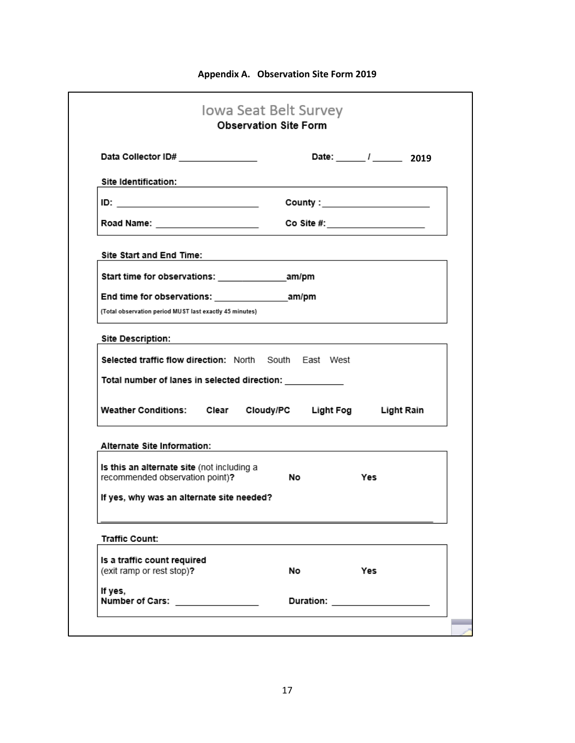| Data Collector ID# ________________                                                                                          | Date: $\frac{1}{2019}$                                                                                                                                                                                                                                                                                                                                              |
|------------------------------------------------------------------------------------------------------------------------------|---------------------------------------------------------------------------------------------------------------------------------------------------------------------------------------------------------------------------------------------------------------------------------------------------------------------------------------------------------------------|
| Site Identification:                                                                                                         |                                                                                                                                                                                                                                                                                                                                                                     |
|                                                                                                                              | $\begin{picture}(20,10) \put(0,0){\vector(1,0){100}} \put(15,0){\vector(1,0){100}} \put(15,0){\vector(1,0){100}} \put(15,0){\vector(1,0){100}} \put(15,0){\vector(1,0){100}} \put(15,0){\vector(1,0){100}} \put(15,0){\vector(1,0){100}} \put(15,0){\vector(1,0){100}} \put(15,0){\vector(1,0){100}} \put(15,0){\vector(1,0){100}} \put(15,0){\vector(1,0){100}} \$ |
| Road Name: ______________________                                                                                            | Co Site #:___________________                                                                                                                                                                                                                                                                                                                                       |
| Site Start and End Time:                                                                                                     |                                                                                                                                                                                                                                                                                                                                                                     |
|                                                                                                                              |                                                                                                                                                                                                                                                                                                                                                                     |
|                                                                                                                              |                                                                                                                                                                                                                                                                                                                                                                     |
| (Total observation period MUST last exactly 45 minutes)                                                                      |                                                                                                                                                                                                                                                                                                                                                                     |
| <b>Site Description:</b>                                                                                                     |                                                                                                                                                                                                                                                                                                                                                                     |
|                                                                                                                              | the control of the control of the control of the control of the control of the control of                                                                                                                                                                                                                                                                           |
|                                                                                                                              |                                                                                                                                                                                                                                                                                                                                                                     |
|                                                                                                                              |                                                                                                                                                                                                                                                                                                                                                                     |
|                                                                                                                              |                                                                                                                                                                                                                                                                                                                                                                     |
|                                                                                                                              | Weather Conditions: Clear Cloudy/PC Light Fog Light Rain                                                                                                                                                                                                                                                                                                            |
| <b>Selected traffic flow direction: North South East West</b><br>Total number of lanes in selected direction: ______________ |                                                                                                                                                                                                                                                                                                                                                                     |
| <b>Alternate Site Information:</b>                                                                                           |                                                                                                                                                                                                                                                                                                                                                                     |
| Is this an alternate site (not including a<br>recommended observation point)?                                                | No.<br>Yes                                                                                                                                                                                                                                                                                                                                                          |
|                                                                                                                              |                                                                                                                                                                                                                                                                                                                                                                     |
|                                                                                                                              |                                                                                                                                                                                                                                                                                                                                                                     |
|                                                                                                                              |                                                                                                                                                                                                                                                                                                                                                                     |
| If yes, why was an alternate site needed?<br><b>Traffic Count:</b><br>Is a traffic count required                            |                                                                                                                                                                                                                                                                                                                                                                     |
| (exit ramp or rest stop)?<br>If yes,                                                                                         | No.<br>Yes                                                                                                                                                                                                                                                                                                                                                          |